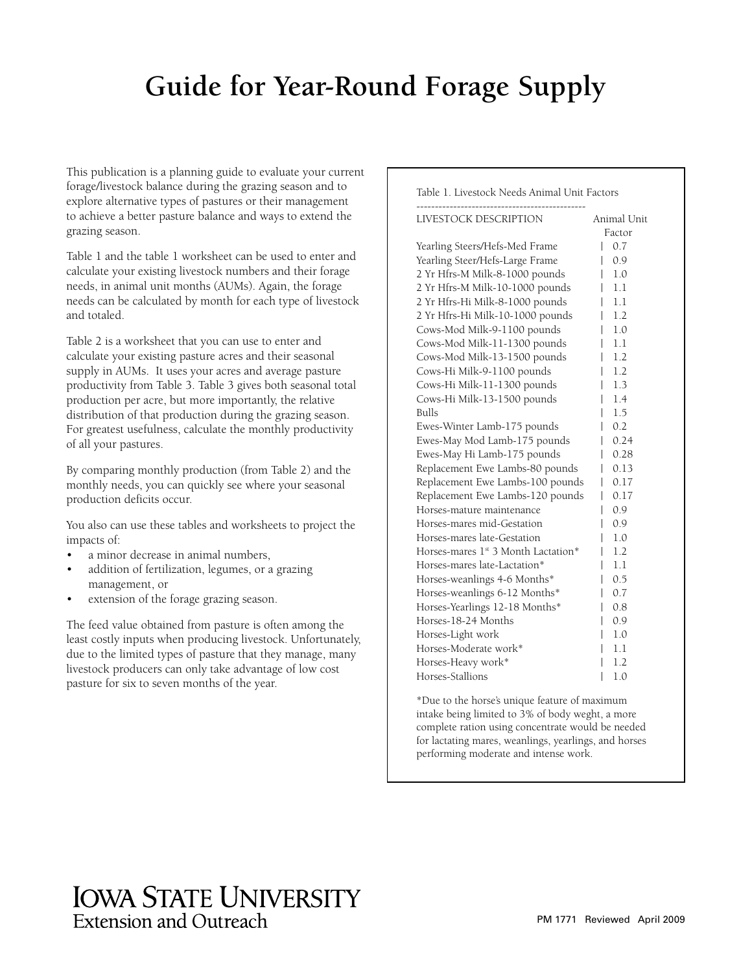# **Guide for Year-Round Forage Supply**

This publication is a planning guide to evaluate your current forage/livestock balance during the grazing season and to explore alternative types of pastures or their management to achieve a better pasture balance and ways to extend the grazing season.

Table 1 and the table 1 worksheet can be used to enter and calculate your existing livestock numbers and their forage needs, in animal unit months (AUMs). Again, the forage needs can be calculated by month for each type of livestock and totaled.

Table 2 is a worksheet that you can use to enter and calculate your existing pasture acres and their seasonal supply in AUMs. It uses your acres and average pasture productivity from Table 3. Table 3 gives both seasonal total production per acre, but more importantly, the relative distribution of that production during the grazing season. For greatest usefulness, calculate the monthly productivity of all your pastures.

By comparing monthly production (from Table 2) and the monthly needs, you can quickly see where your seasonal production deficits occur.

You also can use these tables and worksheets to project the impacts of:

- a minor decrease in animal numbers,
- addition of fertilization, legumes, or a grazing management, or
- extension of the forage grazing season.

The feed value obtained from pasture is often among the least costly inputs when producing livestock. Unfortunately, due to the limited types of pasture that they manage, many livestock producers can only take advantage of low cost pasture for six to seven months of the year.

Table 1. Livestock Needs Animal Unit Factors

| LIVESTOCK DESCRIPTION                           | Animal Unit |
|-------------------------------------------------|-------------|
|                                                 | Factor      |
| Yearling Steers/Hefs-Med Frame                  | 0.7         |
| Yearling Steer/Hefs-Large Frame                 | 0.9<br>I    |
| 2 Yr Hfrs-M Milk-8-1000 pounds                  | 1.0<br>I    |
| 2 Yr Hfrs-M Milk-10-1000 pounds                 | 1.1         |
| 2 Yr Hfrs-Hi Milk-8-1000 pounds                 | 1.1         |
| 2 Yr Hfrs-Hi Milk-10-1000 pounds                | 1.2         |
| Cows-Mod Milk-9-1100 pounds                     | 1.0         |
| Cows-Mod Milk-11-1300 pounds                    | 1.1         |
| Cows-Mod Milk-13-1500 pounds                    | 1.2         |
| Cows-Hi Milk-9-1100 pounds                      | 1.2         |
| Cows-Hi Milk-11-1300 pounds                     | 1.3         |
| Cows-Hi Milk-13-1500 pounds                     | 1.4         |
| Bulls                                           | 1.5         |
| Ewes-Winter Lamb-175 pounds                     | 0.2         |
| Ewes-May Mod Lamb-175 pounds                    | 0.24        |
| Ewes-May Hi Lamb-175 pounds                     | 0.28        |
| Replacement Ewe Lambs-80 pounds                 | 0.13        |
| Replacement Ewe Lambs-100 pounds                | 0.17<br>I   |
| Replacement Ewe Lambs-120 pounds                | 0.17<br>I   |
| Horses-mature maintenance                       | 0.9         |
| Horses-mares mid-Gestation                      | 0.9         |
| Horses-mares late-Gestation                     | 1.0         |
| Horses-mares 1 <sup>st</sup> 3 Month Lactation* | 1.2         |
| Horses-mares late-Lactation*                    | 1.1         |
| Horses-weanlings 4-6 Months*                    | 0.5         |
| Horses-weanlings 6-12 Months*                   | 0.7<br>I    |
| Horses-Yearlings 12-18 Months*                  | 0.8         |
| Horses-18-24 Months                             | 0.9         |
| Horses-Light work                               | 1.0         |
| Horses-Moderate work*                           | 1.1         |
| Horses-Heavy work*                              | 1.2         |
| Horses-Stallions                                | I<br>1.0    |

\*Due to the horse's unique feature of maximum intake being limited to 3% of body weght, a more complete ration using concentrate would be needed for lactating mares, weanlings, yearlings, and horses performing moderate and intense work.

### **IOWA STATE UNIVERSITY Extension and Outreach**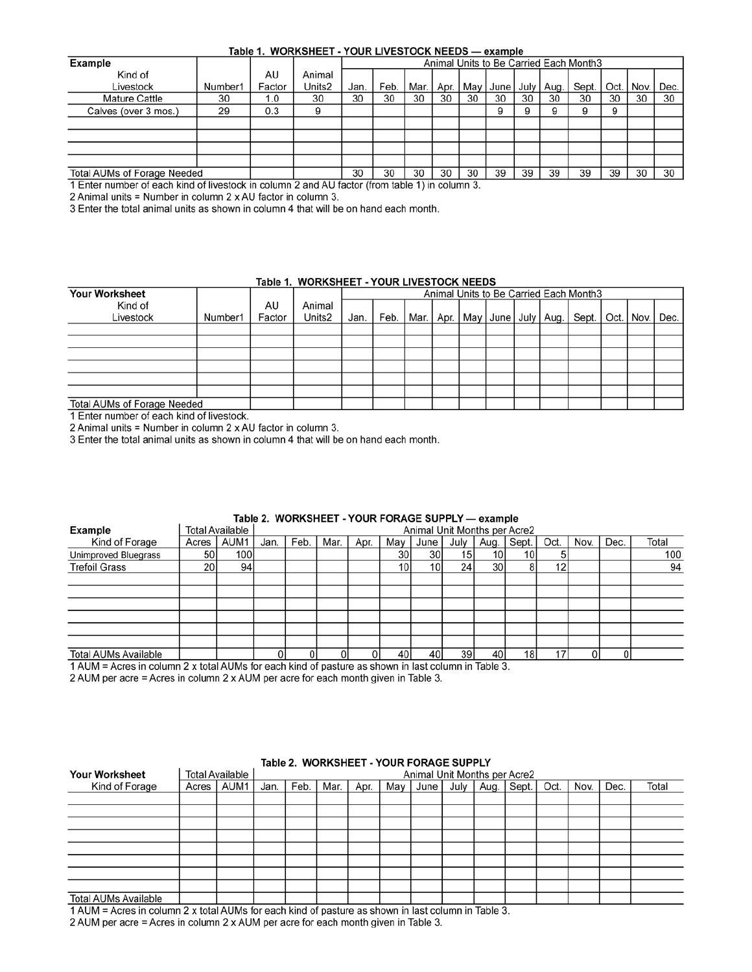#### Table 1. WORKSHEET - YOUR LIVESTOCK NEEDS - example

| <b>Example</b>              |         |        |        | Animal Units to Be Carried Each Month3 |      |      |        |    |           |    |             |       |        |      |      |
|-----------------------------|---------|--------|--------|----------------------------------------|------|------|--------|----|-----------|----|-------------|-------|--------|------|------|
| Kind of                     |         | AU     | Animal |                                        |      |      |        |    |           |    |             |       |        |      |      |
| Livestock                   | Number1 | Factor | Units2 | Jan.                                   | Feb. | Mar. | Apr. I |    | May Junel |    | July   Aug. | Sept. | Oct. I | Nov. | Dec. |
| <b>Mature Cattle</b>        | 30      | 1.0    | 30     | 30                                     | 30   | 30   | 30     | 30 | 30        | 30 | 30          | 30    | 30     | 30   | 30   |
| Calves (over 3 mos.)        | 29      | 0.3    | 9      |                                        |      |      |        |    | 9         | 9  |             |       | 9      |      |      |
|                             |         |        |        |                                        |      |      |        |    |           |    |             |       |        |      |      |
|                             |         |        |        |                                        |      |      |        |    |           |    |             |       |        |      |      |
|                             |         |        |        |                                        |      |      |        |    |           |    |             |       |        |      |      |
|                             |         |        |        |                                        |      |      |        |    |           |    |             |       |        |      |      |
| Total AUMs of Forage Needed |         |        |        | 30                                     | 30   | 30   | 30     | 30 | 39        | 39 | 39          | 39    | 39     | 30   | 30   |
|                             |         |        |        |                                        |      |      |        |    |           |    |             |       |        |      |      |

1 Enter number of each kind of livestock in column 2 and AU factor (from table 1) in column 3.

2 Animal units = Number in column 2 x AU factor in column 3.

3 Enter the total animal units as shown in column 4 that will be on hand each month.

#### Table 1. WORKSHEET - YOUR LIVESTOCK NEEDS

| <b>Your Worksheet</b>       |         |              |                  | Animal Units to Be Carried Each Month3 |      |  |  |  |  |  |  |                                                                     |  |  |  |
|-----------------------------|---------|--------------|------------------|----------------------------------------|------|--|--|--|--|--|--|---------------------------------------------------------------------|--|--|--|
| Kind of<br>Livestock        | Number1 | AU<br>Factor | Animal<br>Units2 | Jan.                                   | Feb. |  |  |  |  |  |  | Mar.   Apr.   May   June   July   Aug.   Sept.   Oct.   Nov.   Dec. |  |  |  |
|                             |         |              |                  |                                        |      |  |  |  |  |  |  |                                                                     |  |  |  |
|                             |         |              |                  |                                        |      |  |  |  |  |  |  |                                                                     |  |  |  |
|                             |         |              |                  |                                        |      |  |  |  |  |  |  |                                                                     |  |  |  |
|                             |         |              |                  |                                        |      |  |  |  |  |  |  |                                                                     |  |  |  |
|                             |         |              |                  |                                        |      |  |  |  |  |  |  |                                                                     |  |  |  |
|                             |         |              |                  |                                        |      |  |  |  |  |  |  |                                                                     |  |  |  |
| Total AUMs of Forage Needed |         |              |                  |                                        |      |  |  |  |  |  |  |                                                                     |  |  |  |

1 Enter number of each kind of livestock.

2 Animal units = Number in column 2 x AU factor in column 3.

3 Enter the total animal units as shown in column 4 that will be on hand each month.

| Table Z. WORKSHEET - TOUR FORAGE SUPPLY — example |       |                        |      |                              |      |      |                 |      |      |                 |                 |      |      |      |       |
|---------------------------------------------------|-------|------------------------|------|------------------------------|------|------|-----------------|------|------|-----------------|-----------------|------|------|------|-------|
| <b>Example</b>                                    |       | <b>Total Available</b> |      | Animal Unit Months per Acre2 |      |      |                 |      |      |                 |                 |      |      |      |       |
| Kind of Forage                                    | Acres | AUM1                   | Jan. | Feb.                         | Mar. | Apr. | Mav             | June | July | Aug.            | Sept.           | Oct. | Nov. | Dec. | Total |
| Unimproved Bluegrass                              | 50    | 100 <sup>1</sup>       |      |                              |      |      | 30 <sup>1</sup> | 30   | 15   | 10 <sup>1</sup> | 101             |      |      |      | 100   |
| <b>Trefoil Grass</b>                              | 20    | 94                     |      |                              |      |      | 10i             | 10   | 24   | 30l             |                 | 12   |      |      | 94    |
|                                                   |       |                        |      |                              |      |      |                 |      |      |                 |                 |      |      |      |       |
|                                                   |       |                        |      |                              |      |      |                 |      |      |                 |                 |      |      |      |       |
|                                                   |       |                        |      |                              |      |      |                 |      |      |                 |                 |      |      |      |       |
|                                                   |       |                        |      |                              |      |      |                 |      |      |                 |                 |      |      |      |       |
|                                                   |       |                        |      |                              |      |      |                 |      |      |                 |                 |      |      |      |       |
|                                                   |       |                        |      |                              |      |      |                 |      |      |                 |                 |      |      |      |       |
| <b>Total AUMs Available</b>                       |       |                        |      |                              |      |      | 40              | 40   | 39   | 40              | 18 <sub>l</sub> |      | 0    |      |       |
|                                                   |       |                        |      |                              |      |      |                 |      |      |                 |                 |      |      |      |       |

#### Table 2 WORKSHEET - VOLIR FORAGE SURPLY - example

1 AUM = Acres in column 2 x total AUMs for each kind of pasture as shown in last column in Table 3. 2 AUM per acre = Acres in column 2 x AUM per acre for each month given in Table 3.

|                       | Table 2. WORKSHEET - YOUR FORAGE SUPPLY |                        |      |                              |      |      |     |  |  |                                 |  |  |      |      |       |
|-----------------------|-----------------------------------------|------------------------|------|------------------------------|------|------|-----|--|--|---------------------------------|--|--|------|------|-------|
| <b>Your Worksheet</b> |                                         | <b>Total Available</b> |      | Animal Unit Months per Acre2 |      |      |     |  |  |                                 |  |  |      |      |       |
| Kind of Forage        | Acres I                                 | AUM1                   | Jan. | Feb.                         | Mar. | Apr. | Mav |  |  | June July   Aug.   Sept.   Oct. |  |  | Nov. | Dec. | Total |
|                       |                                         |                        |      |                              |      |      |     |  |  |                                 |  |  |      |      |       |
|                       |                                         |                        |      |                              |      |      |     |  |  |                                 |  |  |      |      |       |
|                       |                                         |                        |      |                              |      |      |     |  |  |                                 |  |  |      |      |       |
|                       |                                         |                        |      |                              |      |      |     |  |  |                                 |  |  |      |      |       |
|                       |                                         |                        |      |                              |      |      |     |  |  |                                 |  |  |      |      |       |
|                       |                                         |                        |      |                              |      |      |     |  |  |                                 |  |  |      |      |       |
|                       |                                         |                        |      |                              |      |      |     |  |  |                                 |  |  |      |      |       |
|                       |                                         |                        |      |                              |      |      |     |  |  |                                 |  |  |      |      |       |
| Total AUMs Available  |                                         |                        |      |                              |      |      |     |  |  |                                 |  |  |      |      |       |

### Table 2 MORKSHEET VOLID FORAGE SHORLY

 $1$  AUM = Acres in column 2 x total AUMs for each kind of pasture as shown in last column in Table 3.

2 AUM per acre = Acres in column 2 x AUM per acre for each month given in Table 3.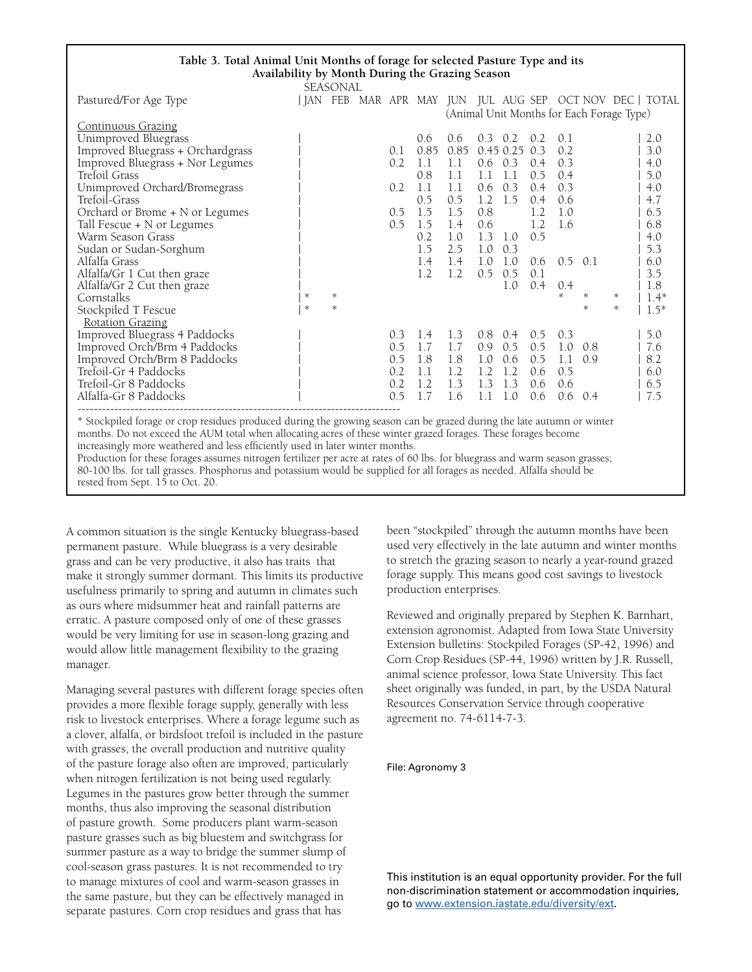| Table 3. Total Animal Unit Months of forage for selected Pasture Type and its                                          |   |        |  |     |      |      |     |                 |               |                 |     |                                           |                                                         |
|------------------------------------------------------------------------------------------------------------------------|---|--------|--|-----|------|------|-----|-----------------|---------------|-----------------|-----|-------------------------------------------|---------------------------------------------------------|
| Availability by Month During the Grazing Season                                                                        |   |        |  |     |      |      |     |                 |               |                 |     |                                           |                                                         |
| SEASONAL                                                                                                               |   |        |  |     |      |      |     |                 |               |                 |     |                                           |                                                         |
| Pastured/For Age Type                                                                                                  |   |        |  |     |      |      |     |                 |               |                 |     |                                           | JAN FEB MAR APR MAY JUN JUL AUG SEP OCT NOV DEC   TOTAL |
|                                                                                                                        |   |        |  |     |      |      |     |                 |               |                 |     | (Animal Unit Months for Each Forage Type) |                                                         |
| <b>Continuous Grazing</b>                                                                                              |   |        |  |     |      |      |     |                 |               |                 |     |                                           |                                                         |
| Unimproved Bluegrass                                                                                                   |   |        |  |     | 0.6  | 0.6  |     | $0.3 \quad 0.2$ | 0.2           | 0.1             |     |                                           | 2.0                                                     |
| Improved Bluegrass + Orchardgrass                                                                                      |   |        |  | 0.1 | 0.85 | 0.85 |     | $0.45$ 0.25 0.3 |               | 0.2             |     |                                           | 3.0                                                     |
| Improved Bluegrass + Nor Legumes                                                                                       |   |        |  | 0.2 | 1.1  | 1.1  |     | $0.6 \quad 0.3$ | $0.4^{\circ}$ | 0.3             |     |                                           | 4.0                                                     |
| Trefoil Grass                                                                                                          |   |        |  |     | 0.8  | 1.1  | 1.1 | 1.1             | 0.5           | 0.4             |     |                                           | 5.0                                                     |
| Unimproved Orchard/Bromegrass                                                                                          |   |        |  | 0.2 | 1.1  | 1.1  |     | $0.6 \quad 0.3$ | 0.4           | 0.3             |     |                                           | 4.0                                                     |
| Trefoil-Grass                                                                                                          |   |        |  |     | 0.5  | 0.5  |     | $1.2 \quad 1.5$ | 0.4           | 0.6             |     |                                           | 4.7                                                     |
| Orchard or Brome + N or Legumes                                                                                        |   |        |  | 0.5 | 1.5  | 1.5  | 0.8 |                 | 1.2           | 1.0             |     |                                           | 6.5                                                     |
| Tall Fescue + N or Legumes                                                                                             |   |        |  | 0.5 | 1.5  | 1.4  | 0.6 |                 | 1.2           | 1.6             |     |                                           | 6.8                                                     |
| Warm Season Grass                                                                                                      |   |        |  |     | 0.2  | 1.0  |     | $1.3 \quad 1.0$ | 0.5           |                 |     |                                           | 4.0                                                     |
| Sudan or Sudan-Sorghum                                                                                                 |   |        |  |     | 1.5  | 2.5  | 1.0 | 0.3             |               |                 |     |                                           | 5.3                                                     |
| Alfalfa Grass                                                                                                          |   |        |  |     | 1.4  | 1.4  | 1.0 | 1.0             | 0.6           | $0.5 \quad 0.1$ |     |                                           | 6.0                                                     |
| Alfalfa/Gr 1 Cut then graze                                                                                            |   |        |  |     | 1.2  | 1.2  | 0.5 | 0.5             | 0.1           |                 |     |                                           | 3.5                                                     |
| Alfalfa/Gr 2 Cut then graze                                                                                            |   |        |  |     |      |      |     | 1.0             | 0.4           | 0.4             |     |                                           | 1.8                                                     |
| Cornstalks                                                                                                             | * | $*$    |  |     |      |      |     |                 |               | *               | ∗   | ∗                                         | $1.4*$                                                  |
| Stockpiled T Fescue                                                                                                    | * | $\ast$ |  |     |      |      |     |                 |               |                 | 永   | $\mathcal{H}$                             | $1.5*$                                                  |
| <b>Rotation Grazing</b>                                                                                                |   |        |  |     |      |      |     |                 |               |                 |     |                                           |                                                         |
| Improved Bluegrass 4 Paddocks                                                                                          |   |        |  | 0.3 | 1.4  | 1.3  | 0.8 | 0.4             | $0.5^{\circ}$ | 0.3             |     |                                           | $5.0$                                                   |
| Improved Orch/Brm 4 Paddocks                                                                                           |   |        |  | 0.5 | 1.7  | 1.7  | 0.9 | 0.5             | 0.5           | 1.0             | 0.8 |                                           | 7.6                                                     |
| Improved Orch/Brm 8 Paddocks                                                                                           |   |        |  | 0.5 | 1.8  | 1.8  | 1.0 | 0.6             | 0.5           | 1.1             | 0.9 |                                           | 8.2                                                     |
| Trefoil-Gr 4 Paddocks                                                                                                  |   |        |  | 0.2 | 1.1  | 1.2  | 1.2 | 1.2             | 0.6           | 0.5             |     |                                           | 6.0                                                     |
| Trefoil-Gr 8 Paddocks                                                                                                  |   |        |  | 0.2 | 1.2  | 1.3  | 1.3 | 1.3             | 0.6           | 0.6             |     |                                           | 6.5                                                     |
| Alfalfa-Gr 8 Paddocks                                                                                                  |   |        |  | 0.5 | 1.7  | 1.6  | 1.1 | 1.0             | 0.6           | 0.6             | 0.4 |                                           | 7.5                                                     |
|                                                                                                                        |   |        |  |     |      |      |     |                 |               |                 |     |                                           |                                                         |
| * Stockpiled forage or crop residues produced during the growing season can be grazed during the late autumn or winter |   |        |  |     |      |      |     |                 |               |                 |     |                                           |                                                         |
| months. Do not exceed the AUM total when allocating acres of these winter grazed forages. These forages become         |   |        |  |     |      |      |     |                 |               |                 |     |                                           |                                                         |

increasingly more weathered and less efficiently used in later winter months.

Production for these forages assumes nitrogen fertilizer per acre at rates of 60 lbs. for bluegrass and warm season grasses; 80-100 lbs. for tall grasses. Phosphorus and potassium would be supplied for all forages as needed. Alfalfa should be rested from Sept. 15 to Oct. 20.

A common situation is the single Kentucky bluegrass-based permanent pasture. While bluegrass is a very desirable grass and can be very productive, it also has traits that make it strongly summer dormant. This limits its productive usefulness primarily to spring and autumn in climates such as ours where midsummer heat and rainfall patterns are erratic. A pasture composed only of one of these grasses would be very limiting for use in season-long grazing and would allow little management flexibility to the grazing manager.

Managing several pastures with different forage species often provides a more flexible forage supply, generally with less risk to livestock enterprises. Where a forage legume such as a clover, alfalfa, or birdsfoot trefoil is included in the pasture with grasses, the overall production and nutritive quality of the pasture forage also often are improved, particularly when nitrogen fertilization is not being used regularly. Legumes in the pastures grow better through the summer months, thus also improving the seasonal distribution of pasture growth. Some producers plant warm-season pasture grasses such as big bluestem and switchgrass for summer pasture as a way to bridge the summer slump of cool-season grass pastures. It is not recommended to try to manage mixtures of cool and warm-season grasses in the same pasture, but they can be effectively managed in separate pastures. Corn crop residues and grass that has

been "stockpiled" through the autumn months have been used very effectively in the late autumn and winter months to stretch the grazing season to nearly a year-round grazed forage supply. This means good cost savings to livestock production enterprises.

Reviewed and originally prepared by Stephen K. Barnhart, extension agronomist. Adapted from Iowa State University Extension bulletins: Stockpiled Forages (SP-42, 1996) and Corn Crop Residues (SP-44, 1996) written by J.R. Russell, animal science professor, Iowa State University. This fact sheet originally was funded, in part, by the USDA Natural Resources Conservation Service through cooperative agreement no. 74-6114-7-3.

#### File: Agronomy 3

This institution is an equal opportunity provider. For the full non-discrimination statement or accommodation inquiries, go to [www.extension.iastate.edu/diversity/ext.](www.extension.iastate.edu/diversity/ext)